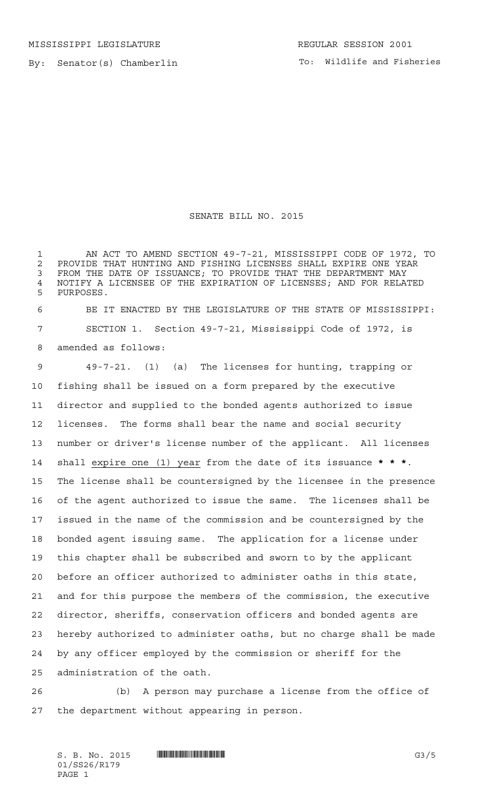MISSISSIPPI LEGISLATURE **REGULAR SESSION 2001** 

By: Senator(s) Chamberlin

## SENATE BILL NO. 2015

 AN ACT TO AMEND SECTION 49-7-21, MISSISSIPPI CODE OF 1972, TO 2 PROVIDE THAT HUNTING AND FISHING LICENSES SHALL EXPIRE ONE YEAR<br>3 FROM THE DATE OF ISSUANCE: TO PROVIDE THAT THE DEPARTMENT MAY FROM THE DATE OF ISSUANCE; TO PROVIDE THAT THE DEPARTMENT MAY 4 NOTIFY A LICENSEE OF THE EXPIRATION OF LICENSES; AND FOR RELATED<br>5 PHRPOSES PURPOSES.

 BE IT ENACTED BY THE LEGISLATURE OF THE STATE OF MISSISSIPPI: SECTION 1. Section 49-7-21, Mississippi Code of 1972, is amended as follows:

 49-7-21. (1) (a) The licenses for hunting, trapping or fishing shall be issued on a form prepared by the executive director and supplied to the bonded agents authorized to issue licenses. The forms shall bear the name and social security number or driver's license number of the applicant. All licenses shall expire one (1) year from the date of its issuance **\*\*\***. The license shall be countersigned by the licensee in the presence of the agent authorized to issue the same. The licenses shall be issued in the name of the commission and be countersigned by the bonded agent issuing same. The application for a license under this chapter shall be subscribed and sworn to by the applicant before an officer authorized to administer oaths in this state, and for this purpose the members of the commission, the executive director, sheriffs, conservation officers and bonded agents are hereby authorized to administer oaths, but no charge shall be made by any officer employed by the commission or sheriff for the administration of the oath.

 (b) A person may purchase a license from the office of the department without appearing in person.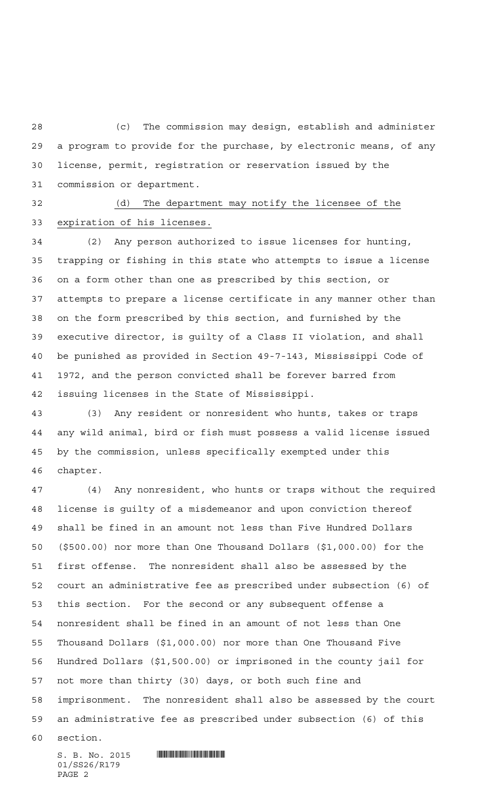(c) The commission may design, establish and administer a program to provide for the purchase, by electronic means, of any license, permit, registration or reservation issued by the commission or department.

 (d) The department may notify the licensee of the expiration of his licenses.

 (2) Any person authorized to issue licenses for hunting, trapping or fishing in this state who attempts to issue a license on a form other than one as prescribed by this section, or attempts to prepare a license certificate in any manner other than on the form prescribed by this section, and furnished by the executive director, is guilty of a Class II violation, and shall be punished as provided in Section 49-7-143, Mississippi Code of 1972, and the person convicted shall be forever barred from issuing licenses in the State of Mississippi.

 (3) Any resident or nonresident who hunts, takes or traps any wild animal, bird or fish must possess a valid license issued by the commission, unless specifically exempted under this chapter.

 (4) Any nonresident, who hunts or traps without the required license is guilty of a misdemeanor and upon conviction thereof shall be fined in an amount not less than Five Hundred Dollars (\$500.00) nor more than One Thousand Dollars (\$1,000.00) for the first offense. The nonresident shall also be assessed by the court an administrative fee as prescribed under subsection (6) of this section. For the second or any subsequent offense a nonresident shall be fined in an amount of not less than One Thousand Dollars (\$1,000.00) nor more than One Thousand Five Hundred Dollars (\$1,500.00) or imprisoned in the county jail for not more than thirty (30) days, or both such fine and imprisonment. The nonresident shall also be assessed by the court an administrative fee as prescribed under subsection (6) of this

section.

 $S. B. No. 2015$  . Suppose the set of  $S. B. N_O. 2015$ 01/SS26/R179 PAGE 2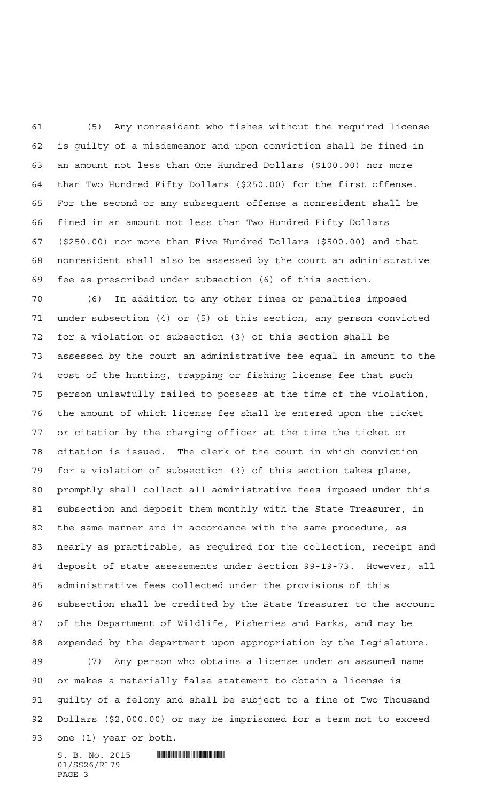(5) Any nonresident who fishes without the required license is guilty of a misdemeanor and upon conviction shall be fined in an amount not less than One Hundred Dollars (\$100.00) nor more than Two Hundred Fifty Dollars (\$250.00) for the first offense. For the second or any subsequent offense a nonresident shall be fined in an amount not less than Two Hundred Fifty Dollars (\$250.00) nor more than Five Hundred Dollars (\$500.00) and that nonresident shall also be assessed by the court an administrative fee as prescribed under subsection (6) of this section.

 (6) In addition to any other fines or penalties imposed under subsection (4) or (5) of this section, any person convicted for a violation of subsection (3) of this section shall be assessed by the court an administrative fee equal in amount to the cost of the hunting, trapping or fishing license fee that such person unlawfully failed to possess at the time of the violation, the amount of which license fee shall be entered upon the ticket or citation by the charging officer at the time the ticket or citation is issued. The clerk of the court in which conviction for a violation of subsection (3) of this section takes place, promptly shall collect all administrative fees imposed under this subsection and deposit them monthly with the State Treasurer, in the same manner and in accordance with the same procedure, as nearly as practicable, as required for the collection, receipt and deposit of state assessments under Section 99-19-73. However, all administrative fees collected under the provisions of this subsection shall be credited by the State Treasurer to the account of the Department of Wildlife, Fisheries and Parks, and may be expended by the department upon appropriation by the Legislature.

 (7) Any person who obtains a license under an assumed name or makes a materially false statement to obtain a license is guilty of a felony and shall be subject to a fine of Two Thousand Dollars (\$2,000.00) or may be imprisoned for a term not to exceed one (1) year or both.

 $S. B. No. 2015$  . We say the set of  $S. B. No. 2015$ 01/SS26/R179 PAGE 3